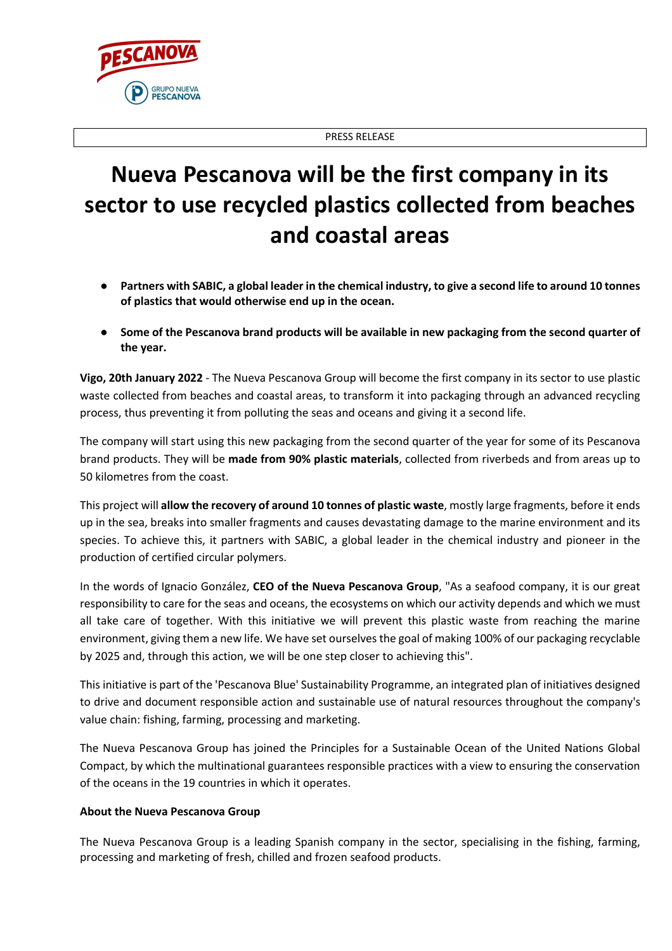

## **Nueva Pescanova will be the first company in its sector to use recycled plastics collected from beaches and coastal areas**

- **Partners with SABIC, a global leader in the chemical industry, to give a second life to around 10 tonnes of plastics that would otherwise end up in the ocean.**
- Some of the Pescanova brand products will be available in new packaging from the second quarter of **the year.**

**Vigo, 20th January 2022** - The Nueva Pescanova Group will become the first company in its sector to use plastic waste collected from beaches and coastal areas, to transform it into packaging through an advanced recycling process, thus preventing it from polluting the seas and oceans and giving it a second life.

The company will start using this new packaging from the second quarter of the year for some of its Pescanova brand products. They will be **made from 90% plastic materials**, collected from riverbeds and from areas up to 50 kilometres from the coast.

This project will **allow the recovery of around 10 tonnes of plastic waste**, mostly large fragments, before it ends up in the sea, breaks into smaller fragments and causes devastating damage to the marine environment and its species. To achieve this, it partners with SABIC, a global leader in the chemical industry and pioneer in the production of certified circular polymers.

In the words of Ignacio González, **CEO of the Nueva Pescanova Group**, "As a seafood company, it is our great responsibility to care for the seas and oceans, the ecosystems on which our activity depends and which we must all take care of together. With this initiative we will prevent this plastic waste from reaching the marine environment, giving them a new life. We have set ourselves the goal of making 100% of our packaging recyclable by 2025 and, through this action, we will be one step closer to achieving this".

This initiative is part of the 'Pescanova Blue' Sustainability Programme, an integrated plan of initiatives designed to drive and document responsible action and sustainable use of natural resources throughout the company's value chain: fishing, farming, processing and marketing.

The Nueva Pescanova Group has joined the Principles for a Sustainable Ocean of the United Nations Global Compact, by which the multinational guarantees responsible practices with a view to ensuring the conservation of the oceans in the 19 countries in which it operates.

## **About the Nueva Pescanova Group**

**JPO NUEVA FSCANOVA** 

The Nueva Pescanova Group is a leading Spanish company in the sector, specialising in the fishing, farming, processing and marketing of fresh, chilled and frozen seafood products.